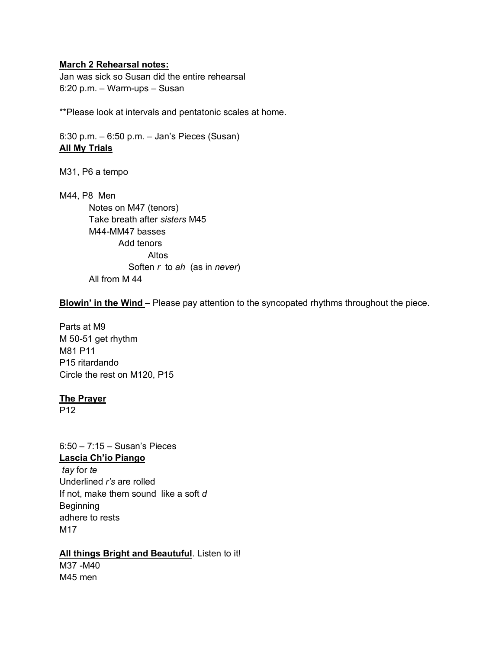### **March 2 Rehearsal notes:**

Jan was sick so Susan did the entire rehearsal 6:20 p.m. – Warm-ups – Susan

\*\*Please look at intervals and pentatonic scales at home.

6:30 p.m. – 6:50 p.m. – Jan's Pieces (Susan) **All My Trials**

M31, P6 a tempo

M44, P8 Men Notes on M47 (tenors) Take breath after *sisters* M45 M44-MM47 basses Add tenors Altos Soften *r* to *ah* (as in *never*) All from M 44

**Blowin' in the Wind** – Please pay attention to the syncopated rhythms throughout the piece.

Parts at M9 M 50-51 get rhythm M81 P11 P15 ritardando Circle the rest on M120, P15

### **The Prayer**

P12

6:50 – 7:15 – Susan's Pieces **Lascia Ch'io Piango** *tay* for *te* Underlined *r's* are rolled If not, make them sound like a soft *d* Beginning adhere to rests M17

## **All things Bright and Beautuful**. Listen to it!

M37 -M40 M45 men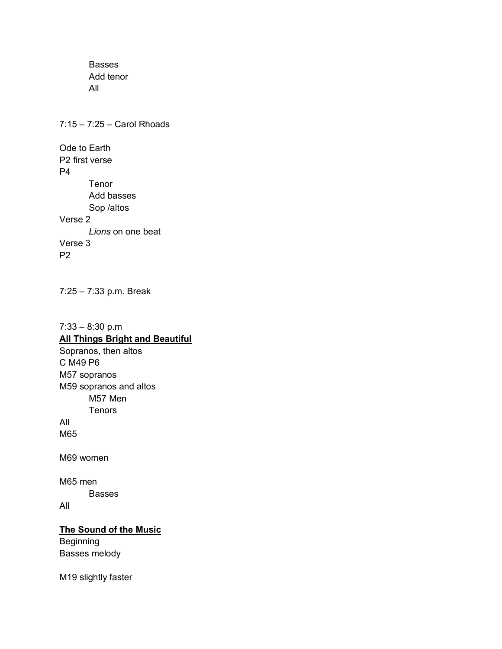Basses Add tenor All

7:15 – 7:25 – Carol Rhoads Ode to Earth P2 first verse P4 Tenor Add basses Sop /altos Verse 2 *Lions* on one beat Verse 3 P2

7:25 – 7:33 p.m. Break

7:33 – 8:30 p.m **All Things Bright and Beautiful** Sopranos, then altos C M49 P6 M57 sopranos M59 sopranos and altos M57 Men Tenors All M65 M69 women

M65 men Basses

All

# **The Sound of the Music**

Beginning Basses melody

M19 slightly faster